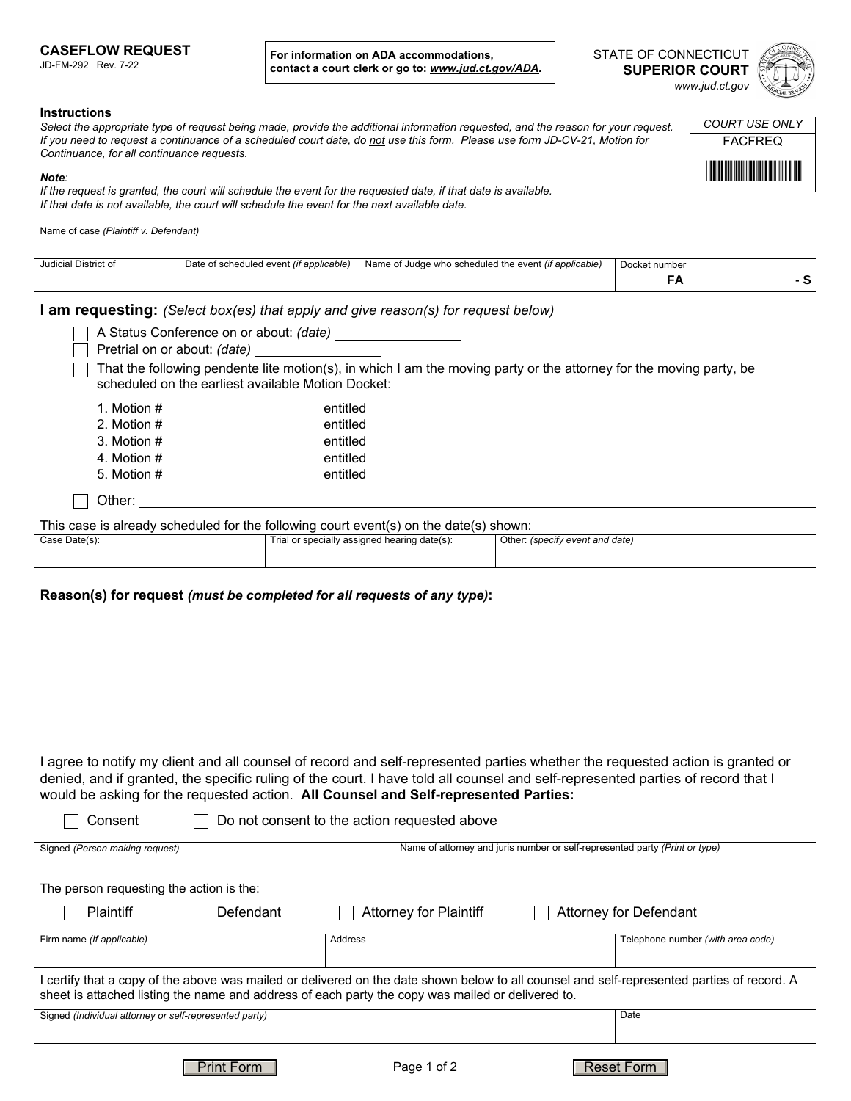## **CASEFLOW REQUEST**

JD-FM-292 Rev. 7-22

**For information on ADA accommodations, contact a court clerk or go to:** *www.jud.ct.gov/ADA.*

| STATE OF CONNECTICUT  |  |  |  |
|-----------------------|--|--|--|
| <b>SUPERIOR COURT</b> |  |  |  |
| www.jud.ct.gov        |  |  |  |



 $\overline{\mathbf{F}}$ 

**FACFREQ** *COURT USE ONLY*

## **Instructions**

*Select the appropriate type of request being made, provide the additional information requested, and the reason for your request. If you need to request a continuance of a scheduled court date, do not use this form. Please use form JD-CV-21, Motion for Continuance, for all continuance requests.*

## *Note:*

 $\overline{a}$ 

*If the request is granted, the court will schedule the event for the requested date, if that date is available. If that date is not available, the court will schedule the event for the next available date.*

| Name of case (Plaintiff v. Defendant) |  |  |
|---------------------------------------|--|--|
|                                       |  |  |

| Judicial District of | Date of scheduled event (if applicable)                                 |          | Name of Judge who scheduled the event <i>(if applicable)</i>                           |                                 | Docket number<br>FA                                                                                                 | - S |
|----------------------|-------------------------------------------------------------------------|----------|----------------------------------------------------------------------------------------|---------------------------------|---------------------------------------------------------------------------------------------------------------------|-----|
|                      |                                                                         |          | <b>am requesting:</b> (Select box(es) that apply and give reason(s) for request below) |                                 |                                                                                                                     |     |
|                      | A Status Conference on or about: (date)<br>Pretrial on or about: (date) |          |                                                                                        |                                 |                                                                                                                     |     |
|                      | scheduled on the earliest available Motion Docket:                      |          |                                                                                        |                                 | That the following pendente lite motion(s), in which I am the moving party or the attorney for the moving party, be |     |
| 1. Motion #          |                                                                         | entitled |                                                                                        |                                 |                                                                                                                     |     |
| 2. Motion $#$        |                                                                         | entitled |                                                                                        |                                 |                                                                                                                     |     |
| 3. Motion $#$        |                                                                         | entitled |                                                                                        |                                 |                                                                                                                     |     |
| 4. Motion #          |                                                                         | entitled |                                                                                        |                                 |                                                                                                                     |     |
| 5. Motion #          |                                                                         | entitled |                                                                                        |                                 |                                                                                                                     |     |
| Other:               |                                                                         |          |                                                                                        |                                 |                                                                                                                     |     |
|                      |                                                                         |          | This case is already scheduled for the following court event(s) on the date(s) shown:  |                                 |                                                                                                                     |     |
| Case Date(s):        |                                                                         |          | Trial or specially assigned hearing date(s):                                           | Other: (specify event and date) |                                                                                                                     |     |

## **Reason(s) for request** *(must be completed for all requests of any type)***:**

I agree to notify my client and all counsel of record and self-represented parties whether the requested action is granted or denied, and if granted, the specific ruling of the court. I have told all counsel and self-represented parties of record that I would be asking for the requested action. **All Counsel and Self-represented Parties:**

| Consent                                                                                                                                                                                                                                          |            | Do not consent to the action requested above |                                                                             |  |  |
|--------------------------------------------------------------------------------------------------------------------------------------------------------------------------------------------------------------------------------------------------|------------|----------------------------------------------|-----------------------------------------------------------------------------|--|--|
| Signed (Person making request)                                                                                                                                                                                                                   |            |                                              | Name of attorney and juris number or self-represented party (Print or type) |  |  |
| The person requesting the action is the:                                                                                                                                                                                                         |            |                                              |                                                                             |  |  |
| Plaintiff                                                                                                                                                                                                                                        | Defendant  | <b>Attorney for Plaintiff</b>                | <b>Attorney for Defendant</b>                                               |  |  |
| Firm name (If applicable)                                                                                                                                                                                                                        |            | Address                                      | Telephone number (with area code)                                           |  |  |
| l certify that a copy of the above was mailed or delivered on the date shown below to all counsel and self-represented parties of record. A<br>sheet is attached listing the name and address of each party the copy was mailed or delivered to. |            |                                              |                                                                             |  |  |
| Signed (Individual attorney or self-represented party)                                                                                                                                                                                           |            |                                              | Date                                                                        |  |  |
|                                                                                                                                                                                                                                                  | Print Form | Page 1 of 2                                  | <b>Reset Form</b>                                                           |  |  |